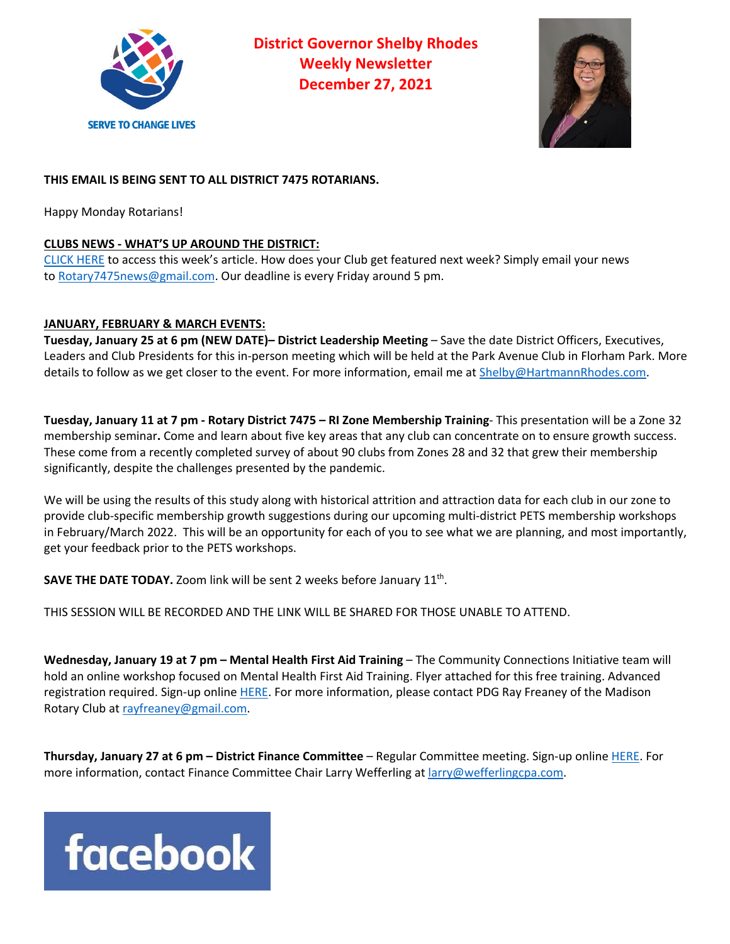

**District Governor Shelby Rhodes Weekly Newsletter December 27, 2021**



# **THIS EMAIL IS BEING SENT TO ALL DISTRICT 7475 ROTARIANS.**

Happy Monday Rotarians!

## **CLUBS NEWS - WHAT'S UP AROUND THE DISTRICT:**

CLICK HERE to access this week's article. How does your Club get featured next week? Simply email your news to Rotary7475news@gmail.com. Our deadline is every Friday around 5 pm.

## **JANUARY, FEBRUARY & MARCH EVENTS:**

**Tuesday, January 25 at 6 pm (NEW DATE)– District Leadership Meeting** – Save the date District Officers, Executives, Leaders and Club Presidents for this in-person meeting which will be held at the Park Avenue Club in Florham Park. More details to follow as we get closer to the event. For more information, email me at **Shelby@HartmannRhodes.com**.

**Tuesday, January 11 at 7 pm - Rotary District 7475 – RI Zone Membership Training**- This presentation will be a Zone 32 membership seminar**.** Come and learn about five key areas that any club can concentrate on to ensure growth success. These come from a recently completed survey of about 90 clubs from Zones 28 and 32 that grew their membership significantly, despite the challenges presented by the pandemic.

We will be using the results of this study along with historical attrition and attraction data for each club in our zone to provide club-specific membership growth suggestions during our upcoming multi-district PETS membership workshops in February/March 2022. This will be an opportunity for each of you to see what we are planning, and most importantly, get your feedback prior to the PETS workshops.

**SAVE THE DATE TODAY.** Zoom link will be sent 2 weeks before January 11<sup>th</sup>.

THIS SESSION WILL BE RECORDED AND THE LINK WILL BE SHARED FOR THOSE UNABLE TO ATTEND.

**Wednesday, January 19 at 7 pm – Mental Health First Aid Training** – The Community Connections Initiative team will hold an online workshop focused on Mental Health First Aid Training. Flyer attached for this free training. Advanced registration required. Sign-up online HERE. For more information, please contact PDG Ray Freaney of the Madison Rotary Club at rayfreaney@gmail.com.

**Thursday, January 27 at 6 pm – District Finance Committee** – Regular Committee meeting. Sign-up online HERE. For more information, contact Finance Committee Chair Larry Wefferling at larry@wefferlingcpa.com.

# **facebook**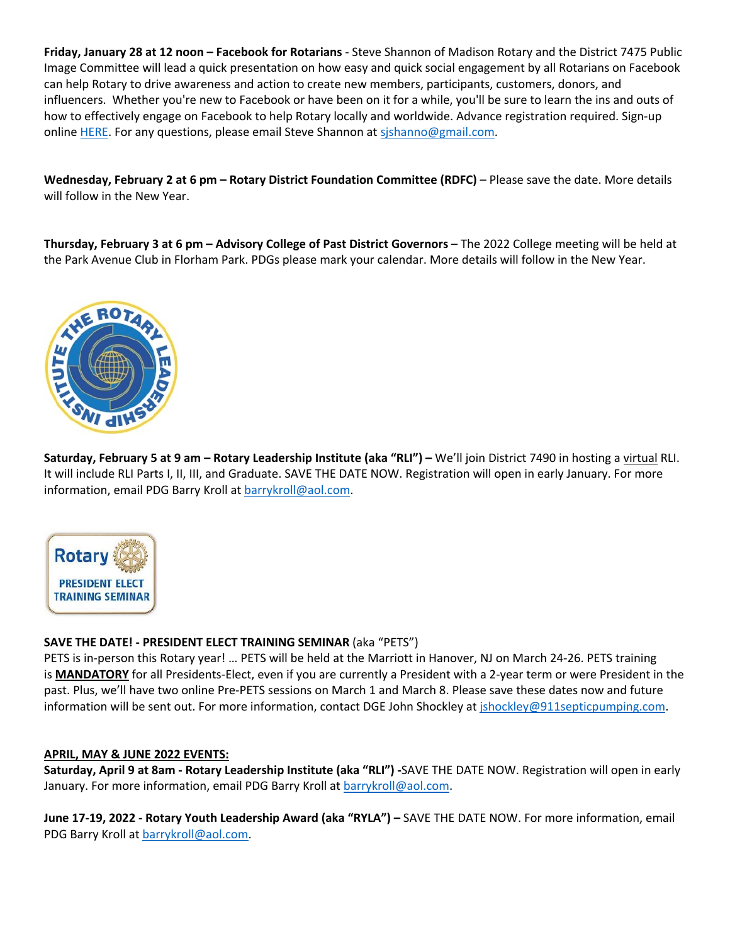**Friday, January 28 at 12 noon – Facebook for Rotarians** - Steve Shannon of Madison Rotary and the District 7475 Public Image Committee will lead a quick presentation on how easy and quick social engagement by all Rotarians on Facebook can help Rotary to drive awareness and action to create new members, participants, customers, donors, and influencers. Whether you're new to Facebook or have been on it for a while, you'll be sure to learn the ins and outs of how to effectively engage on Facebook to help Rotary locally and worldwide. Advance registration required. Sign-up online HERE. For any questions, please email Steve Shannon at sishanno@gmail.com.

**Wednesday, February 2 at 6 pm – Rotary District Foundation Committee (RDFC)** – Please save the date. More details will follow in the New Year.

**Thursday, February 3 at 6 pm – Advisory College of Past District Governors** – The 2022 College meeting will be held at the Park Avenue Club in Florham Park. PDGs please mark your calendar. More details will follow in the New Year.



**Saturday, February 5 at 9 am – Rotary Leadership Institute (aka "RLI") –** We'll join District 7490 in hosting a virtual RLI. It will include RLI Parts I, II, III, and Graduate. SAVE THE DATE NOW. Registration will open in early January. For more information, email PDG Barry Kroll at barrykroll@aol.com.



### **SAVE THE DATE! - PRESIDENT ELECT TRAINING SEMINAR** (aka "PETS")

PETS is in-person this Rotary year! … PETS will be held at the Marriott in Hanover, NJ on March 24-26. PETS training is **MANDATORY** for all Presidents-Elect, even if you are currently a President with a 2-year term or were President in the past. Plus, we'll have two online Pre-PETS sessions on March 1 and March 8. Please save these dates now and future information will be sent out. For more information, contact DGE John Shockley at jshockley@911septicpumping.com.

### **APRIL, MAY & JUNE 2022 EVENTS:**

**Saturday, April 9 at 8am - Rotary Leadership Institute (aka "RLI") -**SAVE THE DATE NOW. Registration will open in early January. For more information, email PDG Barry Kroll at barrykroll@aol.com.

**June 17-19, 2022 - Rotary Youth Leadership Award (aka "RYLA") –** SAVE THE DATE NOW. For more information, email PDG Barry Kroll at barrykroll@aol.com.